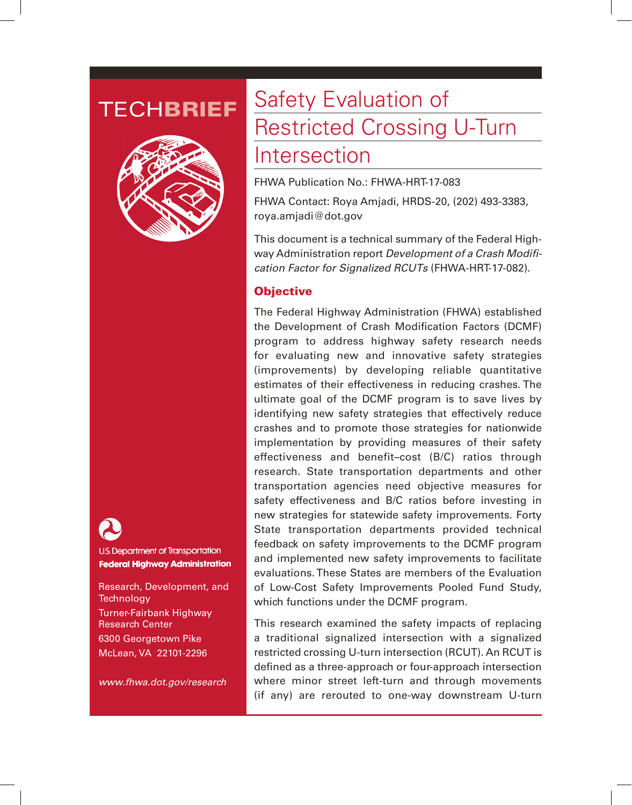



**U.S. Department of Transportation Federal Highway Administration** 

Research, Development, and **Technology** Turner-Fairbank Highway Research Center 6300 Georgetown Pike McLean, VA 22101-2296

*www.fhwa.dot.gov/research*

# TECHBRIEF Safety Evaluation of Restricted Crossing U-Turn

## Intersection

FHWA Publication No.: FHWA-HRT-17-083

FHWA Contact: Roya Amjadi, HRDS-20, (202) 493-3383, roya.amjadi@dot.gov

This document is a technical summary of the Federal Highway Administration report *Development of a Crash Modification Factor for Signalized RCUTs* (FHWA-HRT-17-082).

### **Objective**

The Federal Highway Administration (FHWA) established the Development of Crash Modification Factors (DCMF) program to address highway safety research needs for evaluating new and innovative safety strategies (improvements) by developing reliable quantitative estimates of their effectiveness in reducing crashes. The ultimate goal of the DCMF program is to save lives by identifying new safety strategies that effectively reduce crashes and to promote those strategies for nationwide implementation by providing measures of their safety effectiveness and benefit–cost (B/C) ratios through research. State transportation departments and other transportation agencies need objective measures for safety effectiveness and B/C ratios before investing in new strategies for statewide safety improvements. Forty State transportation departments provided technical feedback on safety improvements to the DCMF program and implemented new safety improvements to facilitate evaluations. These States are members of the Evaluation of Low-Cost Safety Improvements Pooled Fund Study, which functions under the DCMF program.

This research examined the safety impacts of replacing a traditional signalized intersection with a signalized restricted crossing U-turn intersection (RCUT). An RCUT is defined as a three-approach or four-approach intersection where minor street left-turn and through movements (if any) are rerouted to one-way downstream U-turn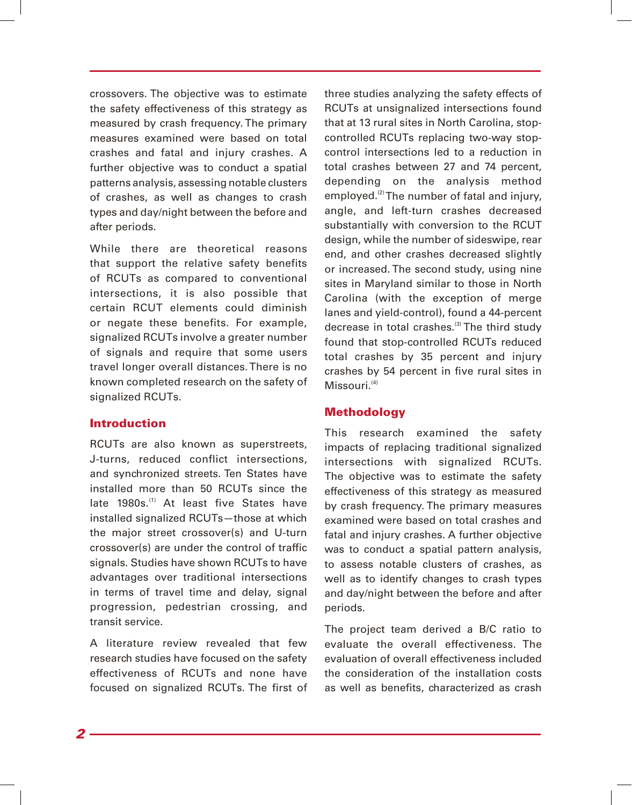crossovers. The objective was to estimate the safety effectiveness of this strategy as measured by crash frequency. The primary measures examined were based on total crashes and fatal and injury crashes. A further objective was to conduct a spatial patterns analysis, assessing notable clusters of crashes, as well as changes to crash types and day/night between the before and after periods.

While there are theoretical reasons that support the relative safety benefits of RCUTs as compared to conventional intersections, it is also possible that certain RCUT elements could diminish or negate these benefits. For example, signalized RCUTs involve a greater number of signals and require that some users travel longer overall distances. There is no known completed research on the safety of signalized RCUTs.

#### Introduction

RCUTs are also known as superstreets, J-turns, reduced conflict intersections, and synchronized streets. Ten States have installed more than 50 RCUTs since the late 1980s.<sup>(1)</sup> At least five States have installed signalized RCUTs—those at which the major street crossover(s) and U-turn crossover(s) are under the control of traffic signals. Studies have shown RCUTs to have advantages over traditional intersections in terms of travel time and delay, signal progression, pedestrian crossing, and transit service.

A literature review revealed that few research studies have focused on the safety effectiveness of RCUTs and none have focused on signalized RCUTs. The first of

three studies analyzing the safety effects of RCUTs at unsignalized intersections found that at 13 rural sites in North Carolina, stopcontrolled RCUTs replacing two-way stopcontrol intersections led to a reduction in total crashes between 27 and 74 percent, depending on the analysis method employed.<sup>(2)</sup> The number of fatal and injury, angle, and left-turn crashes decreased substantially with conversion to the RCUT design, while the number of sideswipe, rear end, and other crashes decreased slightly or increased. The second study, using nine sites in Maryland similar to those in North Carolina (with the exception of merge lanes and yield-control), found a 44-percent decrease in total crashes.<sup>(3)</sup> The third study found that stop-controlled RCUTs reduced total crashes by 35 percent and injury crashes by 54 percent in five rural sites in  $Missouri.<sup>(4)</sup>$ 

#### **Methodology**

This research examined the safety impacts of replacing traditional signalized intersections with signalized RCUTs. The objective was to estimate the safety effectiveness of this strategy as measured by crash frequency. The primary measures examined were based on total crashes and fatal and injury crashes. A further objective was to conduct a spatial pattern analysis, to assess notable clusters of crashes, as well as to identify changes to crash types and day/night between the before and after periods.

The project team derived a B/C ratio to evaluate the overall effectiveness. The evaluation of overall effectiveness included the consideration of the installation costs as well as benefits, characterized as crash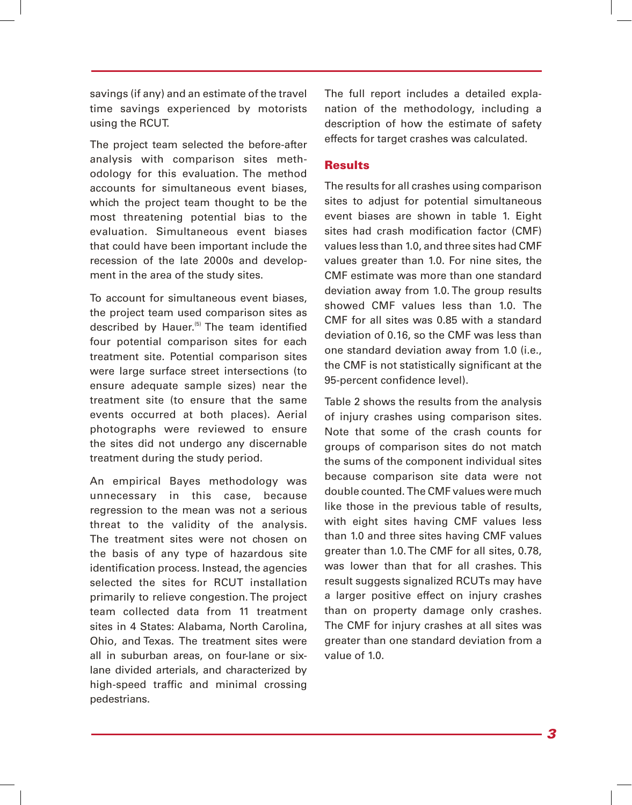savings (if any) and an estimate of the travel time savings experienced by motorists using the RCUT.

The project team selected the before-after analysis with comparison sites methodology for this evaluation. The method accounts for simultaneous event biases, which the project team thought to be the most threatening potential bias to the evaluation. Simultaneous event biases that could have been important include the recession of the late 2000s and development in the area of the study sites.

To account for simultaneous event biases, the project team used comparison sites as described by Hauer.<sup>(5)</sup> The team identified four potential comparison sites for each treatment site. Potential comparison sites were large surface street intersections (to ensure adequate sample sizes) near the treatment site (to ensure that the same events occurred at both places). Aerial photographs were reviewed to ensure the sites did not undergo any discernable treatment during the study period.

An empirical Bayes methodology was unnecessary in this case, because regression to the mean was not a serious threat to the validity of the analysis. The treatment sites were not chosen on the basis of any type of hazardous site identification process. Instead, the agencies selected the sites for RCUT installation primarily to relieve congestion. The project team collected data from 11 treatment sites in 4 States: Alabama, North Carolina, Ohio, and Texas. The treatment sites were all in suburban areas, on four-lane or sixlane divided arterials, and characterized by high-speed traffic and minimal crossing pedestrians.

The full report includes a detailed explanation of the methodology, including a description of how the estimate of safety effects for target crashes was calculated.

#### **Results**

The results for all crashes using comparison sites to adjust for potential simultaneous event biases are shown in table 1. Eight sites had crash modification factor (CMF) values less than 1.0, and three sites had CMF values greater than 1.0. For nine sites, the CMF estimate was more than one standard deviation away from 1.0. The group results showed CMF values less than 1.0. The CMF for all sites was 0.85 with a standard deviation of 0.16, so the CMF was less than one standard deviation away from 1.0 (i.e., the CMF is not statistically significant at the 95-percent confidence level).

Table 2 shows the results from the analysis of injury crashes using comparison sites. Note that some of the crash counts for groups of comparison sites do not match the sums of the component individual sites because comparison site data were not double counted. The CMF values were much like those in the previous table of results, with eight sites having CMF values less than 1.0 and three sites having CMF values greater than 1.0. The CMF for all sites, 0.78, was lower than that for all crashes. This result suggests signalized RCUTs may have a larger positive effect on injury crashes than on property damage only crashes. The CMF for injury crashes at all sites was greater than one standard deviation from a value of 1.0.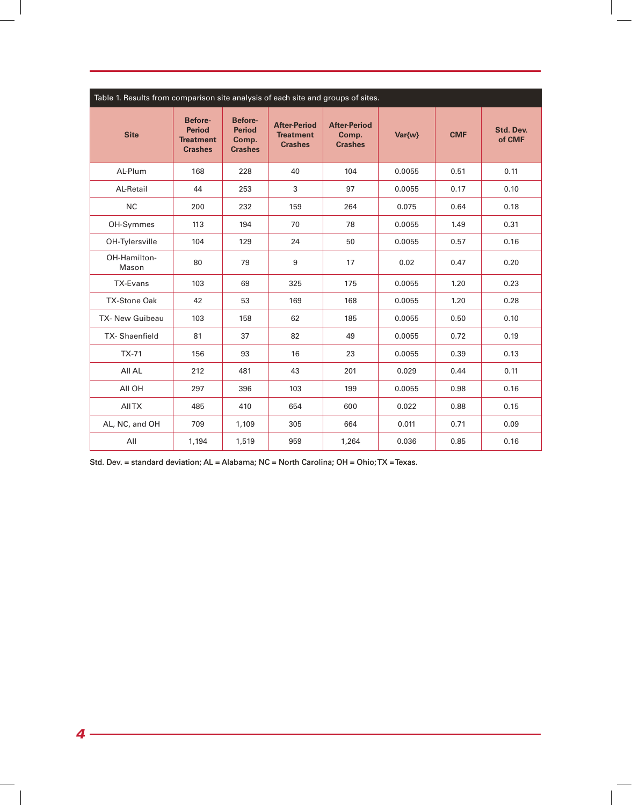| Table 1. Results from comparison site analysis of each site and groups of sites. |                                                                |                                                     |                                                           |                                                |        |            |                     |  |  |  |
|----------------------------------------------------------------------------------|----------------------------------------------------------------|-----------------------------------------------------|-----------------------------------------------------------|------------------------------------------------|--------|------------|---------------------|--|--|--|
| <b>Site</b>                                                                      | Before-<br><b>Period</b><br><b>Treatment</b><br><b>Crashes</b> | Before-<br><b>Period</b><br>Comp.<br><b>Crashes</b> | <b>After-Period</b><br><b>Treatment</b><br><b>Crashes</b> | <b>After-Period</b><br>Comp.<br><b>Crashes</b> | Var{w} | <b>CMF</b> | Std. Dev.<br>of CMF |  |  |  |
| AL-Plum                                                                          | 168                                                            | 228                                                 | 40                                                        | 104                                            | 0.0055 | 0.51       | 0.11                |  |  |  |
| <b>AL-Retail</b>                                                                 | 44                                                             | 253                                                 | 3                                                         | 97                                             | 0.0055 | 0.17       | 0.10                |  |  |  |
| <b>NC</b>                                                                        | 200                                                            | 232                                                 | 159                                                       | 264                                            | 0.075  | 0.64       | 0.18                |  |  |  |
| OH-Symmes                                                                        | 113                                                            | 194                                                 | 70                                                        | 78                                             | 0.0055 | 1.49       | 0.31                |  |  |  |
| OH-Tylersville                                                                   | 104                                                            | 129                                                 | 24                                                        | 50                                             | 0.0055 | 0.57       | 0.16                |  |  |  |
| OH-Hamilton-<br>Mason                                                            | 80                                                             | 79                                                  | $\boldsymbol{9}$                                          | 17                                             | 0.02   | 0.47       | 0.20                |  |  |  |
| TX-Evans                                                                         | 103                                                            | 69                                                  | 325                                                       | 175                                            | 0.0055 | 1.20       | 0.23                |  |  |  |
| <b>TX-Stone Oak</b>                                                              | 42                                                             | 53                                                  | 169                                                       | 168                                            | 0.0055 | 1.20       | 0.28                |  |  |  |
| <b>TX- New Guibeau</b>                                                           | 103                                                            | 158                                                 | 62                                                        | 185                                            | 0.0055 | 0.50       | 0.10                |  |  |  |
| TX-Shaenfield                                                                    | 81                                                             | 37                                                  | 82                                                        | 49                                             | 0.0055 | 0.72       | 0.19                |  |  |  |
| $TX-71$                                                                          | 156                                                            | 93                                                  | 16                                                        | 23                                             | 0.0055 | 0.39       | 0.13                |  |  |  |
| All AL                                                                           | 212                                                            | 481                                                 | 43                                                        | 201                                            | 0.029  | 0.44       | 0.11                |  |  |  |
| All OH                                                                           | 297                                                            | 396                                                 | 103                                                       | 199                                            | 0.0055 | 0.98       | 0.16                |  |  |  |
| <b>AIITX</b>                                                                     | 485                                                            | 410                                                 | 654                                                       | 600                                            | 0.022  | 0.88       | 0.15                |  |  |  |
| AL, NC, and OH                                                                   | 709                                                            | 1,109                                               | 305                                                       | 664                                            | 0.011  | 0.71       | 0.09                |  |  |  |
| All                                                                              | 1,194                                                          | 1,519                                               | 959                                                       | 1,264                                          | 0.036  | 0.85       | 0.16                |  |  |  |

Std. Dev. = standard deviation; AL = Alabama; NC = North Carolina; OH = Ohio; TX = Texas.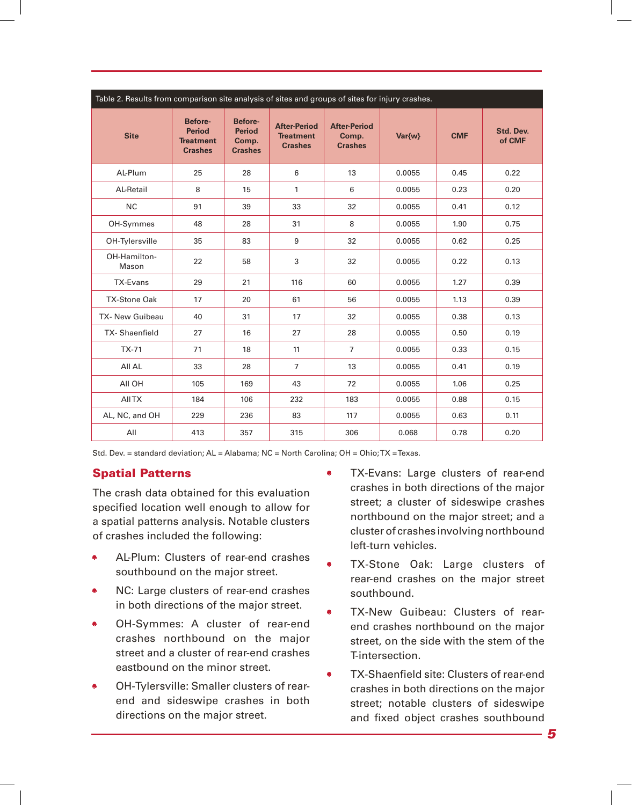| Table 2. Results from comparison site analysis of sites and groups of sites for injury crashes. |                                                                |                                                            |                                                           |                                                |        |            |                     |  |  |  |
|-------------------------------------------------------------------------------------------------|----------------------------------------------------------------|------------------------------------------------------------|-----------------------------------------------------------|------------------------------------------------|--------|------------|---------------------|--|--|--|
| <b>Site</b>                                                                                     | Before-<br><b>Period</b><br><b>Treatment</b><br><b>Crashes</b> | <b>Before-</b><br><b>Period</b><br>Comp.<br><b>Crashes</b> | <b>After-Period</b><br><b>Treatment</b><br><b>Crashes</b> | <b>After-Period</b><br>Comp.<br><b>Crashes</b> | Var{w} | <b>CMF</b> | Std. Dev.<br>of CMF |  |  |  |
| <b>AL-Plum</b>                                                                                  | 25                                                             | 28                                                         | 6                                                         | 13                                             | 0.0055 | 0.45       | 0.22                |  |  |  |
| <b>AL-Retail</b>                                                                                | 8                                                              | 15                                                         | 1                                                         | 6                                              | 0.0055 | 0.23       | 0.20                |  |  |  |
| NC                                                                                              | 91                                                             | 39                                                         | 33                                                        | 32                                             | 0.0055 | 0.41       | 0.12                |  |  |  |
| OH-Symmes                                                                                       | 48                                                             | 28                                                         | 31                                                        | 8                                              | 0.0055 | 1.90       | 0.75                |  |  |  |
| OH-Tylersville                                                                                  | 35                                                             | 83                                                         | 9                                                         | 32                                             | 0.0055 | 0.62       | 0.25                |  |  |  |
| OH-Hamilton-<br>Mason                                                                           | 22                                                             | 58                                                         | 3                                                         | 32                                             | 0.0055 | 0.22       | 0.13                |  |  |  |
| TX-Evans                                                                                        | 29                                                             | 21                                                         | 116                                                       | 60                                             | 0.0055 | 1.27       | 0.39                |  |  |  |
| <b>TX-Stone Oak</b>                                                                             | 17                                                             | 20                                                         | 61                                                        | 56                                             | 0.0055 | 1.13       | 0.39                |  |  |  |
| <b>TX- New Guibeau</b>                                                                          | 40                                                             | 31                                                         | 17                                                        | 32                                             | 0.0055 | 0.38       | 0.13                |  |  |  |
| TX-Shaenfield                                                                                   | 27                                                             | 16                                                         | 27                                                        | 28                                             | 0.0055 | 0.50       | 0.19                |  |  |  |
| $TX-71$                                                                                         | 71                                                             | 18                                                         | 11                                                        | $\overline{7}$                                 | 0.0055 | 0.33       | 0.15                |  |  |  |
| All AL                                                                                          | 33                                                             | 28                                                         | $\overline{7}$                                            | 13                                             | 0.0055 | 0.41       | 0.19                |  |  |  |
| AII OH                                                                                          | 105                                                            | 169                                                        | 43                                                        | 72                                             | 0.0055 | 1.06       | 0.25                |  |  |  |
| <b>AIITX</b>                                                                                    | 184                                                            | 106                                                        | 232                                                       | 183                                            | 0.0055 | 0.88       | 0.15                |  |  |  |
| AL, NC, and OH                                                                                  | 229                                                            | 236                                                        | 83                                                        | 117                                            | 0.0055 | 0.63       | 0.11                |  |  |  |
| All                                                                                             | 413                                                            | 357                                                        | 315                                                       | 306                                            | 0.068  | 0.78       | 0.20                |  |  |  |

Std. Dev. = standard deviation; AL = Alabama; NC = North Carolina; OH = Ohio; TX = Texas.

### Spatial Patterns

The crash data obtained for this evaluation specified location well enough to allow for a spatial patterns analysis. Notable clusters of crashes included the following:

- AL-Plum: Clusters of rear-end crashes southbound on the major street.
- NC: Large clusters of rear-end crashes in both directions of the major street.
- OH-Symmes: A cluster of rear-end crashes northbound on the major street and a cluster of rear-end crashes eastbound on the minor street.
- OH-Tylersville: Smaller clusters of rearend and sideswipe crashes in both directions on the major street.
- TX-Evans: Large clusters of rear-end crashes in both directions of the major street; a cluster of sideswipe crashes northbound on the major street; and a cluster of crashes involving northbound left-turn vehicles.
- TX-Stone Oak: Large clusters of rear-end crashes on the major street southbound.
- TX-New Guibeau: Clusters of rearend crashes northbound on the major street, on the side with the stem of the T-intersection.
- TX-Shaenfield site: Clusters of rear-end crashes in both directions on the major street; notable clusters of sideswipe and fixed object crashes southbound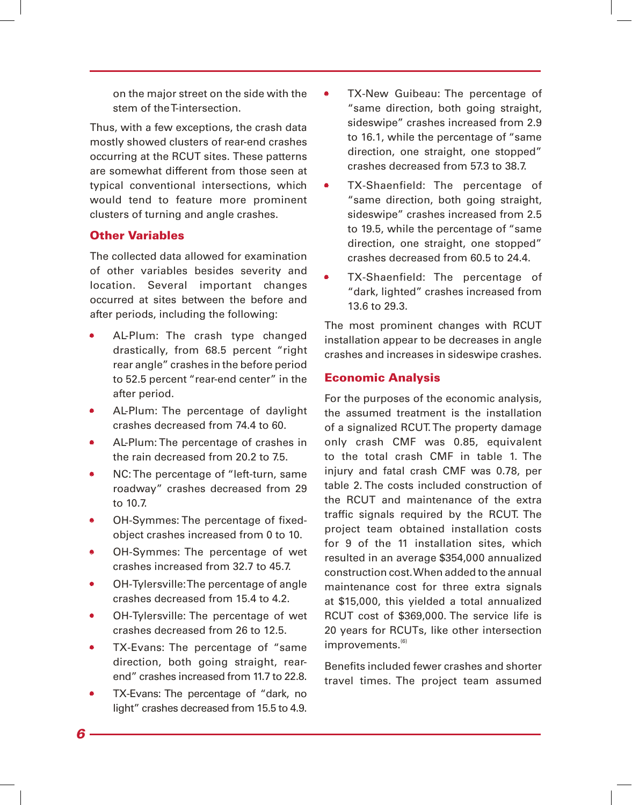on the major street on the side with the stem of the T-intersection.

Thus, with a few exceptions, the crash data mostly showed clusters of rear-end crashes occurring at the RCUT sites. These patterns are somewhat different from those seen at typical conventional intersections, which would tend to feature more prominent clusters of turning and angle crashes.

### Other Variables

The collected data allowed for examination of other variables besides severity and location. Several important changes occurred at sites between the before and after periods, including the following:

- AL-Plum: The crash type changed drastically, from 68.5 percent "right rear angle" crashes in the before period to 52.5 percent "rear-end center" in the after period.
- AL-Plum: The percentage of daylight crashes decreased from 74.4 to 60.
- AL-Plum: The percentage of crashes in the rain decreased from 20.2 to 7.5.
- NC: The percentage of "left-turn, same roadway" crashes decreased from 29 to 10.7.
- OH-Symmes: The percentage of fixedobject crashes increased from 0 to 10.
- OH-Symmes: The percentage of wet crashes increased from 32.7 to 45.7.
- OH-Tylersville: The percentage of angle crashes decreased from 15.4 to 4.2.
- OH-Tylersville: The percentage of wet crashes decreased from 26 to 12.5.
- TX-Evans: The percentage of "same" direction, both going straight, rearend" crashes increased from 11.7 to 22.8.
- TX-Evans: The percentage of "dark, no light" crashes decreased from 15.5 to 4.9.
- TX-New Guibeau: The percentage of "same direction, both going straight, sideswipe" crashes increased from 2.9 to 16.1, while the percentage of "same direction, one straight, one stopped" crashes decreased from 57.3 to 38.7.
- TX-Shaenfield: The percentage of "same direction, both going straight, sideswipe" crashes increased from 2.5 to 19.5, while the percentage of "same direction, one straight, one stopped" crashes decreased from 60.5 to 24.4.
- TX-Shaenfield: The percentage of "dark, lighted" crashes increased from 13.6 to 29.3.

The most prominent changes with RCUT installation appear to be decreases in angle crashes and increases in sideswipe crashes.

### Economic Analysis

For the purposes of the economic analysis, the assumed treatment is the installation of a signalized RCUT. The property damage only crash CMF was 0.85, equivalent to the total crash CMF in table 1. The injury and fatal crash CMF was 0.78, per table 2. The costs included construction of the RCUT and maintenance of the extra traffic signals required by the RCUT. The project team obtained installation costs for 9 of the 11 installation sites, which resulted in an average \$354,000 annualized construction cost. When added to the annual maintenance cost for three extra signals at \$15,000, this yielded a total annualized RCUT cost of \$369,000. The service life is 20 years for RCUTs, like other intersection improvements.<sup>(6)</sup>

Benefits included fewer crashes and shorter travel times. The project team assumed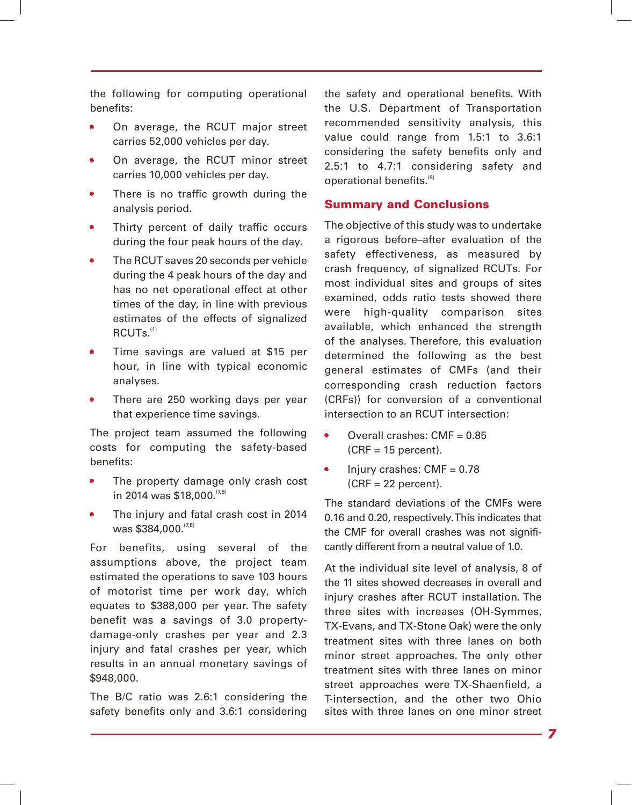the following for computing operational benefits:

- On average, the RCUT major street carries 52,000 vehicles per day.
- On average, the RCUT minor street carries 10,000 vehicles per day.
- There is no traffic growth during the analysis period.
- Thirty percent of daily traffic occurs during the four peak hours of the day.
- The RCUT saves 20 seconds per vehicle during the 4 peak hours of the day and has no net operational effect at other times of the day, in line with previous estimates of the effects of signalized  $RCLJTs.$ <sup>(1)</sup>
- Time savings are valued at \$15 per hour, in line with typical economic analyses.
- There are 250 working days per year that experience time savings.

The project team assumed the following costs for computing the safety-based benefits:

- The property damage only crash cost in 2014 was \$18,000.<sup>(7,8)</sup>
- The injury and fatal crash cost in 2014 was \$384,000. (7,8)

For benefits, using several of the assumptions above, the project team estimated the operations to save 103 hours of motorist time per work day, which equates to \$388,000 per year. The safety benefit was a savings of 3.0 propertydamage-only crashes per year and 2.3 injury and fatal crashes per year, which results in an annual monetary savings of \$948,000.

The B/C ratio was 2.6:1 considering the safety benefits only and 3.6:1 considering the safety and operational benefits. With the U.S. Department of Transportation recommended sensitivity analysis, this value could range from 1.5:1 to 3.6:1 considering the safety benefits only and 2.5:1 to 4.7:1 considering safety and operational benefits.(8)

#### Summary and Conclusions

The objective of this study was to undertake a rigorous before–after evaluation of the safety effectiveness, as measured by crash frequency, of signalized RCUTs. For most individual sites and groups of sites examined, odds ratio tests showed there were high-quality comparison sites available, which enhanced the strength of the analyses. Therefore, this evaluation determined the following as the best general estimates of CMFs (and their corresponding crash reduction factors (CRFs)) for conversion of a conventional intersection to an RCUT intersection:

- Overall crashes: CMF = 0.85  $(CRF = 15$  percent).
- Injury crashes:  $CMF = 0.78$  $(CRF = 22$  percent).

The standard deviations of the CMFs were 0.16 and 0.20, respectively. This indicates that the CMF for overall crashes was not significantly different from a neutral value of 1.0.

At the individual site level of analysis, 8 of the 11 sites showed decreases in overall and injury crashes after RCUT installation. The three sites with increases (OH-Symmes, TX-Evans, and TX-Stone Oak) were the only treatment sites with three lanes on both minor street approaches. The only other treatment sites with three lanes on minor street approaches were TX-Shaenfield, a T-intersection, and the other two Ohio sites with three lanes on one minor street